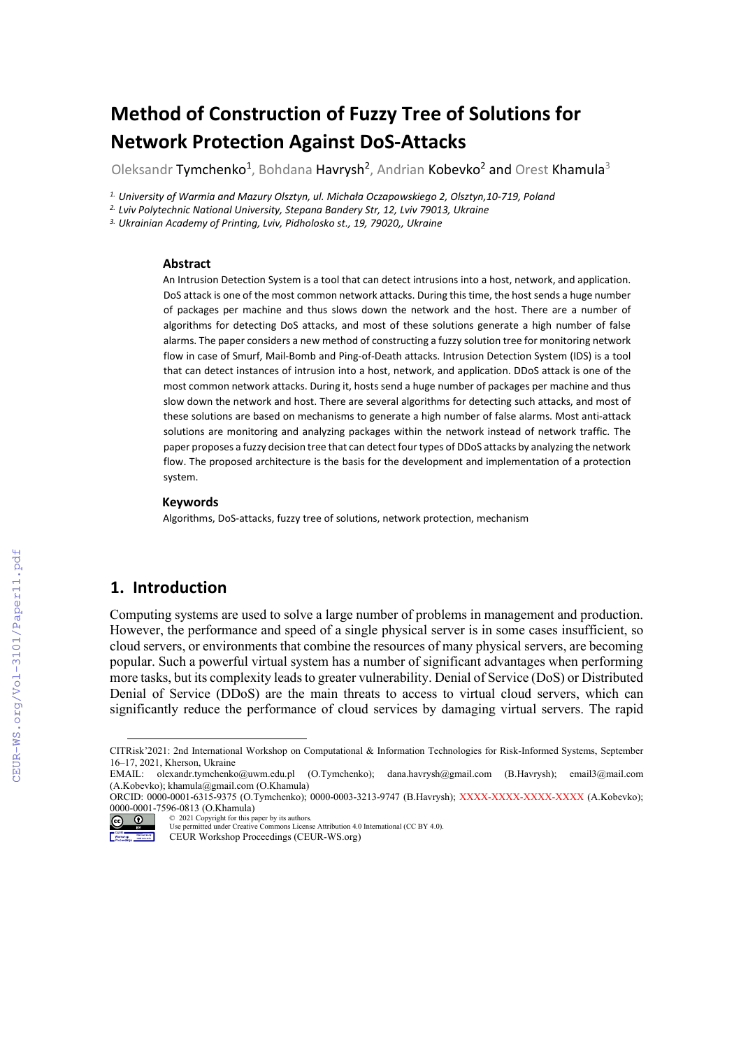# **Method of Construction of Fuzzy Tree of Solutions for Network Protection Against DoS-Attacks**

Oleksandr Tymchenko<sup>1</sup>, Bohdana Havrysh<sup>2</sup>, Andrian Kobevko<sup>2</sup> and Orest Khamula<sup>3</sup>

<sup>1.</sup> University of Warmia and Mazury Olsztyn, ul. Michała Oczapowskiego 2, Olsztyn, 10-719, Poland<br><sup>2.</sup> Lviv Polytechnic National University, Stepana Bandery Str, 12, Lviv 79013, Ukraine

*3. Ukrainian Academy of Printing, Lviv, Pidholosko st., 19, 79020,, Ukraine* 

#### **Abstract**

An Intrusion Detection System is a tool that can detect intrusions into a host, network, and application. DoS attack is one of the most common network attacks. During this time, the host sends a huge number of packages per machine and thus slows down the network and the host. There are a number of algorithms for detecting DoS attacks, and most of these solutions generate a high number of false alarms. The paper considers a new method of constructing a fuzzy solution tree for monitoring network flow in case of Smurf, Mail-Bomb and Ping-of-Death attacks. Intrusion Detection System (IDS) is a tool that can detect instances of intrusion into a host, network, and application. DDoS attack is one of the most common network attacks. During it, hosts send a huge number of packages per machine and thus slow down the network and host. There are several algorithms for detecting such attacks, and most of these solutions are based on mechanisms to generate a high number of false alarms. Most anti-attack solutions are monitoring and analyzing packages within the network instead of network traffic. The paper proposes a fuzzy decision tree that can detect four types of DDoS attacks by analyzing the network flow. The proposed architecture is the basis for the development and implementation of a protection system.

#### **Keywords [1](#page-0-0)**

Algorithms, DoS-attacks, fuzzy tree of solutions, network protection, mechanism

# **1. Introduction**

Computing systems are used to solve a large number of problems in management and production. However, the performance and speed of a single physical server is in some cases insufficient, so cloud servers, or environments that combine the resources of many physical servers, are becoming popular. Such a powerful virtual system has a number of significant advantages when performing more tasks, but its complexity leads to greater vulnerability. Denial of Service (DoS) or Distributed Denial of Service (DDoS) are the main threats to access to virtual cloud servers, which can significantly reduce the performance of cloud services by damaging virtual servers. The rapid

EMAIL: olexandr.tymchenko@uwm.edu.pl (O.Tymchenko); dana.havrysh@gmail.com (B.Havrysh); email3@mail.com (A.Kobevko); khamula@gmail.com (O.Khamula)

ORCID: 0000-0001-6315-9375 (O.Tymchenko); 0000-0003-3213-9747 (B.Havrysh); XXXX-XXXX-XXXX-XXXX (A.Kobevko); 0000-0001-7596-0813 (O.Khamula)

© 2021 Copyright for this paper by its authors.  $\circledcirc$ 

CEUR Workshop Proceedings (CEUR-WS.org)

<span id="page-0-0"></span>CITRisk'2021: 2nd International Workshop on Computational & Information Technologies for Risk-Informed Systems, September 16–17, 2021, Kherson, Ukraine

Use permitted under Creative Commons License Attribution 4.0 International (CC BY 4.0).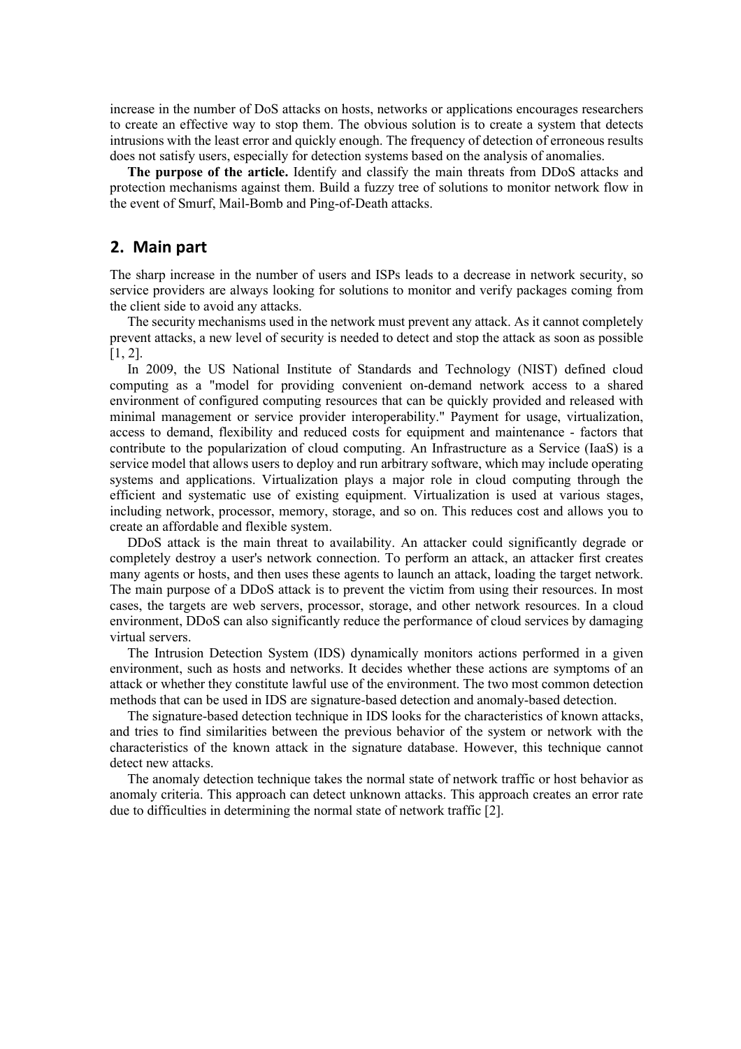increase in the number of DoS attacks on hosts, networks or applications encourages researchers to create an effective way to stop them. The obvious solution is to create a system that detects intrusions with the least error and quickly enough. The frequency of detection of erroneous results does not satisfy users, especially for detection systems based on the analysis of anomalies.

**The purpose of the article.** Identify and classify the main threats from DDoS attacks and protection mechanisms against them. Build a fuzzy tree of solutions to monitor network flow in the event of Smurf, Mail-Bomb and Ping-of-Death attacks.

### **2. Main part**

The sharp increase in the number of users and ISPs leads to a decrease in network security, so service providers are always looking for solutions to monitor and verify packages coming from the client side to avoid any attacks.

The security mechanisms used in the network must prevent any attack. As it cannot completely prevent attacks, a new level of security is needed to detect and stop the attack as soon as possible  $[1, 2]$ .

In 2009, the US National Institute of Standards and Technology (NIST) defined cloud computing as a "model for providing convenient on-demand network access to a shared environment of configured computing resources that can be quickly provided and released with minimal management or service provider interoperability." Payment for usage, virtualization, access to demand, flexibility and reduced costs for equipment and maintenance - factors that contribute to the popularization of cloud computing. An Infrastructure as a Service (IaaS) is a service model that allows users to deploy and run arbitrary software, which may include operating systems and applications. Virtualization plays a major role in cloud computing through the efficient and systematic use of existing equipment. Virtualization is used at various stages, including network, processor, memory, storage, and so on. This reduces cost and allows you to create an affordable and flexible system.

DDoS attack is the main threat to availability. An attacker could significantly degrade or completely destroy a user's network connection. To perform an attack, an attacker first creates many agents or hosts, and then uses these agents to launch an attack, loading the target network. The main purpose of a DDoS attack is to prevent the victim from using their resources. In most cases, the targets are web servers, processor, storage, and other network resources. In a cloud environment, DDoS can also significantly reduce the performance of cloud services by damaging virtual servers.

The Intrusion Detection System (IDS) dynamically monitors actions performed in a given environment, such as hosts and networks. It decides whether these actions are symptoms of an attack or whether they constitute lawful use of the environment. The two most common detection methods that can be used in IDS are signature-based detection and anomaly-based detection.

The signature-based detection technique in IDS looks for the characteristics of known attacks, and tries to find similarities between the previous behavior of the system or network with the characteristics of the known attack in the signature database. However, this technique cannot detect new attacks.

The anomaly detection technique takes the normal state of network traffic or host behavior as anomaly criteria. This approach can detect unknown attacks. This approach creates an error rate due to difficulties in determining the normal state of network traffic [2].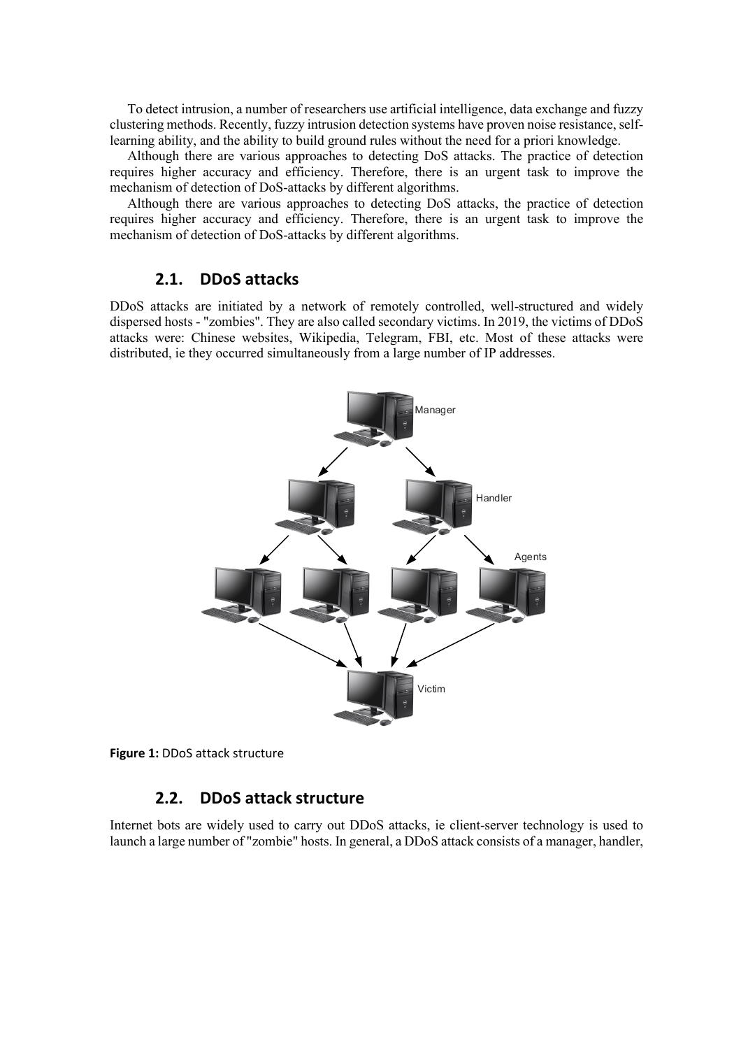To detect intrusion, a number of researchers use artificial intelligence, data exchange and fuzzy clustering methods. Recently, fuzzy intrusion detection systems have proven noise resistance, selflearning ability, and the ability to build ground rules without the need for a priori knowledge.

Although there are various approaches to detecting DoS attacks. The practice of detection requires higher accuracy and efficiency. Therefore, there is an urgent task to improve the mechanism of detection of DoS-attacks by different algorithms.

Although there are various approaches to detecting DoS attacks, the practice of detection requires higher accuracy and efficiency. Therefore, there is an urgent task to improve the mechanism of detection of DoS-attacks by different algorithms.

# **2.1. DDoS attacks**

DDoS attacks are initiated by a network of remotely controlled, well-structured and widely dispersed hosts - "zombies". They are also called secondary victims. In 2019, the victims of DDoS attacks were: Chinese websites, Wikipedia, Telegram, FBI, etc. Most of these attacks were distributed, ie they occurred simultaneously from a large number of IP addresses.



**Figure 1:** DDoS attack structure

# **2.2. DDoS attack structure**

Internet bots are widely used to carry out DDoS attacks, ie client-server technology is used to launch a large number of "zombie" hosts. In general, a DDoS attack consists of a manager, handler,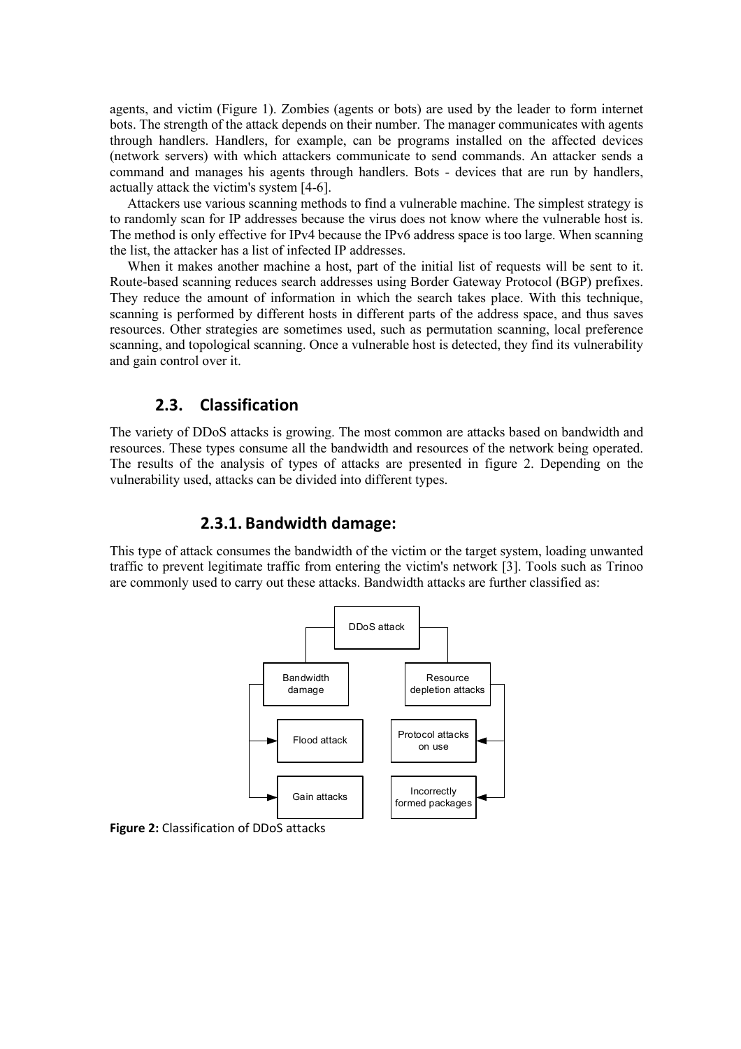agents, and victim (Figure 1). Zombies (agents or bots) are used by the leader to form internet bots. The strength of the attack depends on their number. The manager communicates with agents through handlers. Handlers, for example, can be programs installed on the affected devices (network servers) with which attackers communicate to send commands. An attacker sends a command and manages his agents through handlers. Bots - devices that are run by handlers, actually attack the victim's system [4-6].

Attackers use various scanning methods to find a vulnerable machine. The simplest strategy is to randomly scan for IP addresses because the virus does not know where the vulnerable host is. The method is only effective for IPv4 because the IPv6 address space is too large. When scanning the list, the attacker has a list of infected IP addresses.

When it makes another machine a host, part of the initial list of requests will be sent to it. Route-based scanning reduces search addresses using Border Gateway Protocol (BGP) prefixes. They reduce the amount of information in which the search takes place. With this technique, scanning is performed by different hosts in different parts of the address space, and thus saves resources. Other strategies are sometimes used, such as permutation scanning, local preference scanning, and topological scanning. Once a vulnerable host is detected, they find its vulnerability and gain control over it.

# **2.3. Classification**

The variety of DDoS attacks is growing. The most common are attacks based on bandwidth and resources. These types consume all the bandwidth and resources of the network being operated. The results of the analysis of types of attacks are presented in figure 2. Depending on the vulnerability used, attacks can be divided into different types.

# **2.3.1. Bandwidth damage:**

This type of attack consumes the bandwidth of the victim or the target system, loading unwanted traffic to prevent legitimate traffic from entering the victim's network [3]. Tools such as Trinoo are commonly used to carry out these attacks. Bandwidth attacks are further classified as:



**Figure 2:** Classification of DDoS attacks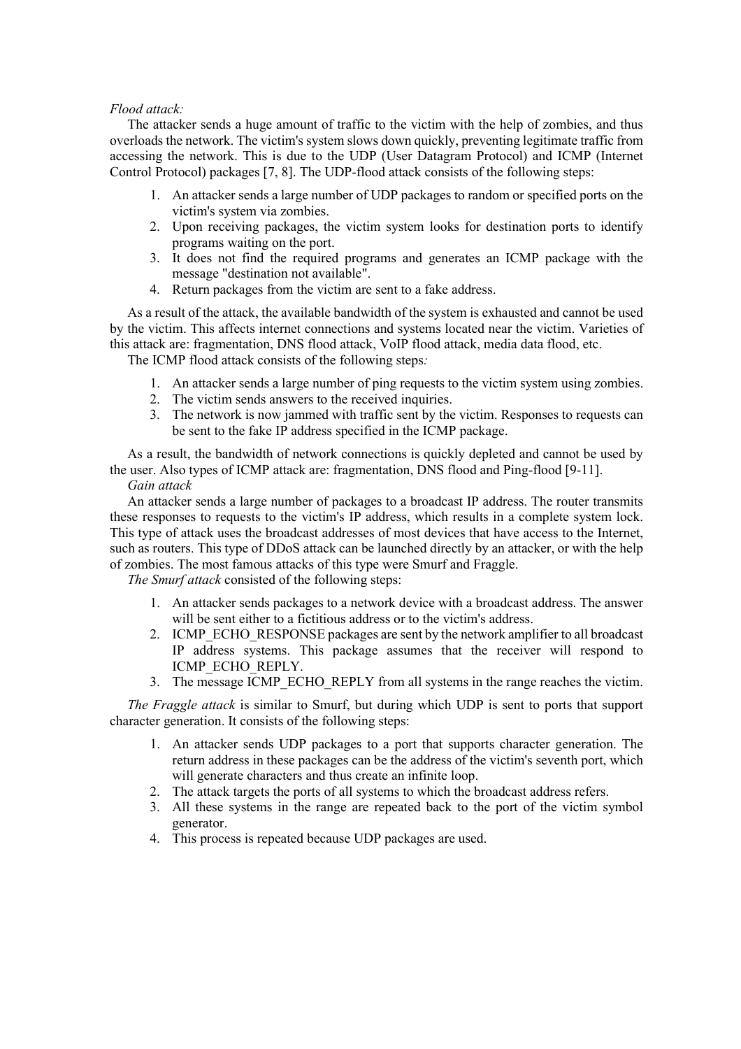### *Flood attack:*

The attacker sends a huge amount of traffic to the victim with the help of zombies, and thus overloads the network. The victim's system slows down quickly, preventing legitimate traffic from accessing the network. This is due to the UDP (User Datagram Protocol) and ICMP (Internet Control Protocol) packages [7, 8]. The UDP-flood attack consists of the following steps:

- 1. An attacker sends a large number of UDP packages to random or specified ports on the victim's system via zombies.
- 2. Upon receiving packages, the victim system looks for destination ports to identify programs waiting on the port.
- 3. It does not find the required programs and generates an ICMP package with the message "destination not available".
- 4. Return packages from the victim are sent to a fake address.

As a result of the attack, the available bandwidth of the system is exhausted and cannot be used by the victim. This affects internet connections and systems located near the victim. Varieties of this attack are: fragmentation, DNS flood attack, VoIP flood attack, media data flood, etc.

The ICMP flood attack consists of the following steps*:*

- 1. An attacker sends a large number of ping requests to the victim system using zombies.
- 2. The victim sends answers to the received inquiries.
- 3. The network is now jammed with traffic sent by the victim. Responses to requests can be sent to the fake IP address specified in the ICMP package.

As a result, the bandwidth of network connections is quickly depleted and cannot be used by the user. Also types of ICMP attack are: fragmentation, DNS flood and Ping-flood [9-11].

### *Gain attack*

An attacker sends a large number of packages to a broadcast IP address. The router transmits these responses to requests to the victim's IP address, which results in a complete system lock. This type of attack uses the broadcast addresses of most devices that have access to the Internet, such as routers. This type of DDoS attack can be launched directly by an attacker, or with the help of zombies. The most famous attacks of this type were Smurf and Fraggle.

*The Smurf attack* consisted of the following steps:

- 1. An attacker sends packages to a network device with a broadcast address. The answer will be sent either to a fictitious address or to the victim's address.
- 2. ICMP\_ECHO\_RESPONSE packages are sent by the network amplifier to all broadcast IP address systems. This package assumes that the receiver will respond to ICMP\_ECHO\_REPLY.
- 3. The message ICMP\_ECHO\_REPLY from all systems in the range reaches the victim.

*The Fraggle attack* is similar to Smurf, but during which UDP is sent to ports that support character generation. It consists of the following steps:

- 1. An attacker sends UDP packages to a port that supports character generation. The return address in these packages can be the address of the victim's seventh port, which will generate characters and thus create an infinite loop.
- 2. The attack targets the ports of all systems to which the broadcast address refers.
- 3. All these systems in the range are repeated back to the port of the victim symbol generator.
- 4. This process is repeated because UDP packages are used.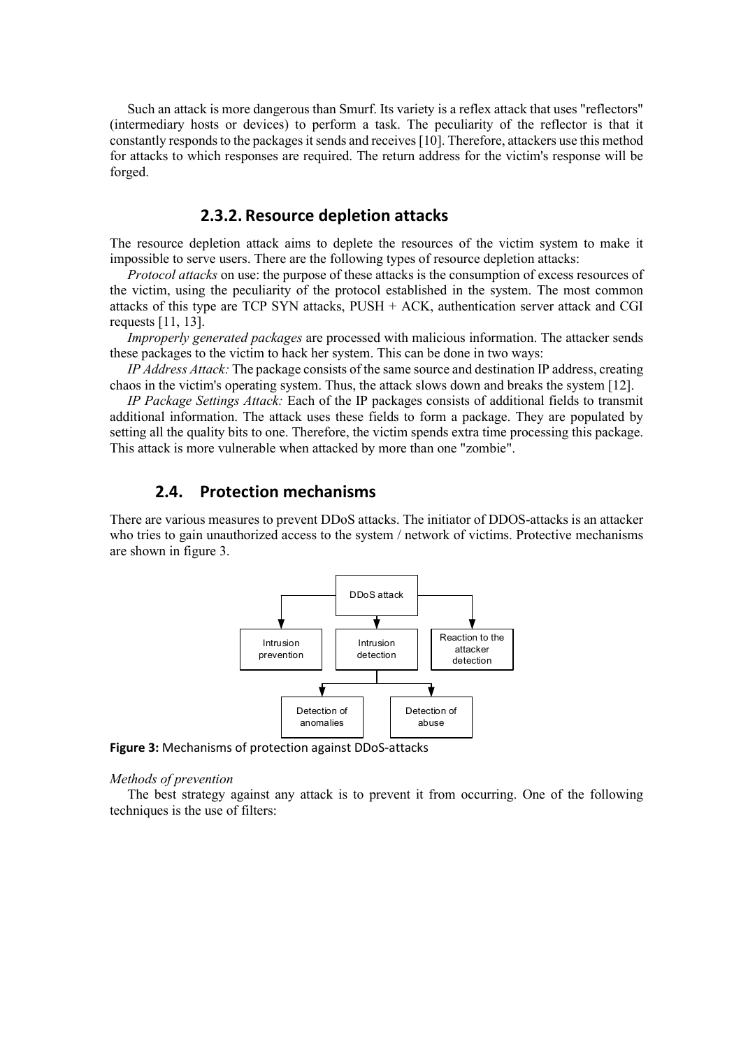Such an attack is more dangerous than Smurf. Its variety is a reflex attack that uses "reflectors" (intermediary hosts or devices) to perform a task. The peculiarity of the reflector is that it constantly responds to the packages it sends and receives[10]. Therefore, attackers use this method for attacks to which responses are required. The return address for the victim's response will be forged.

# **2.3.2. Resource depletion attacks**

The resource depletion attack aims to deplete the resources of the victim system to make it impossible to serve users. There are the following types of resource depletion attacks:

*Protocol attacks* on use: the purpose of these attacks is the consumption of excess resources of the victim, using the peculiarity of the protocol established in the system. The most common attacks of this type are TCP SYN attacks, PUSH + ACK, authentication server attack and CGI requests [11, 13].

*Improperly generated packages* are processed with malicious information. The attacker sends these packages to the victim to hack her system. This can be done in two ways:

*IP Address Attack:* The package consists of the same source and destination IP address, creating chaos in the victim's operating system. Thus, the attack slows down and breaks the system [12].

*IP Package Settings Attack:* Each of the IP packages consists of additional fields to transmit additional information. The attack uses these fields to form a package. They are populated by setting all the quality bits to one. Therefore, the victim spends extra time processing this package. This attack is more vulnerable when attacked by more than one "zombie".

### **2.4. Protection mechanisms**

There are various measures to prevent DDoS attacks. The initiator of DDOS-attacks is an attacker who tries to gain unauthorized access to the system / network of victims. Protective mechanisms are shown in figure 3.



**Figure 3:** Mechanisms of protection against DDoS-attacks

#### *Methods of prevention*

The best strategy against any attack is to prevent it from occurring. One of the following techniques is the use of filters: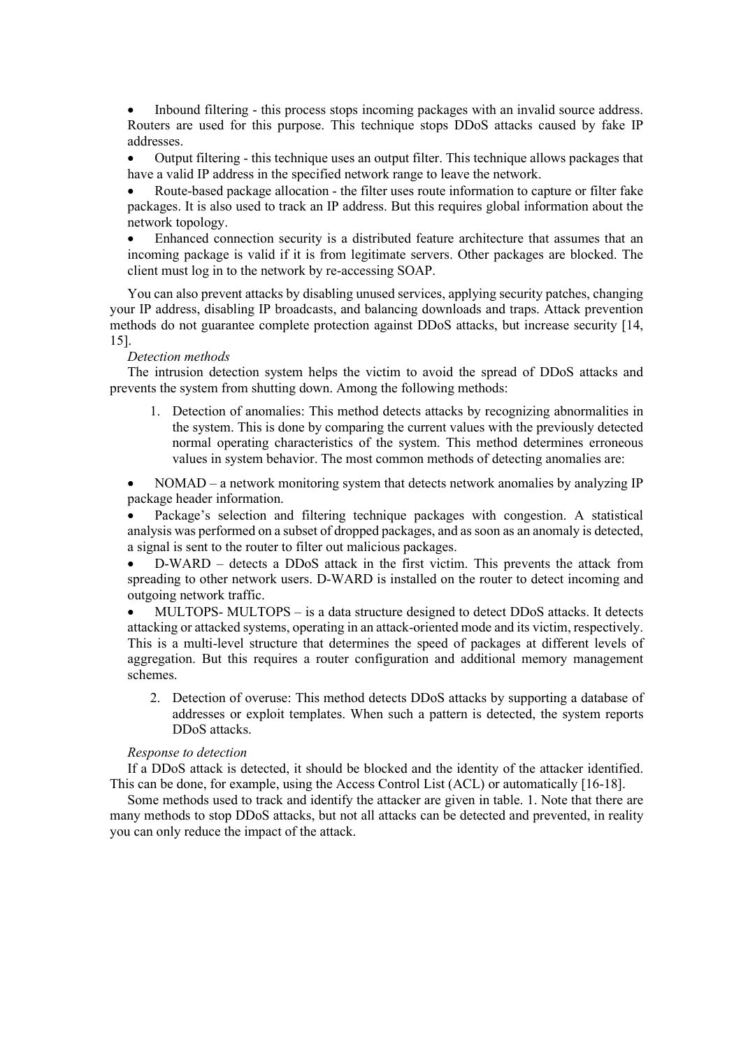• Inbound filtering - this process stops incoming packages with an invalid source address. Routers are used for this purpose. This technique stops DDoS attacks caused by fake IP addresses.

• Output filtering - this technique uses an output filter. This technique allows packages that have a valid IP address in the specified network range to leave the network.

• Route-based package allocation - the filter uses route information to capture or filter fake packages. It is also used to track an IP address. But this requires global information about the network topology.

• Enhanced connection security is a distributed feature architecture that assumes that an incoming package is valid if it is from legitimate servers. Other packages are blocked. The client must log in to the network by re-accessing SOAP.

You can also prevent attacks by disabling unused services, applying security patches, changing your IP address, disabling IP broadcasts, and balancing downloads and traps. Attack prevention methods do not guarantee complete protection against DDoS attacks, but increase security [14, 15].

#### *Detection methods*

The intrusion detection system helps the victim to avoid the spread of DDoS attacks and prevents the system from shutting down. Among the following methods:

1. Detection of anomalies: This method detects attacks by recognizing abnormalities in the system. This is done by comparing the current values with the previously detected normal operating characteristics of the system. This method determines erroneous values in system behavior. The most common methods of detecting anomalies are:

• NOMAD – a network monitoring system that detects network anomalies by analyzing IP package header information.

• Package's selection and filtering technique packages with congestion. A statistical analysis was performed on a subset of dropped packages, and as soon as an anomaly is detected, a signal is sent to the router to filter out malicious packages.

• D-WARD – detects a DDoS attack in the first victim. This prevents the attack from spreading to other network users. D-WARD is installed on the router to detect incoming and outgoing network traffic.

• MULTOPS- MULTOPS – is a data structure designed to detect DDoS attacks. It detects attacking or attacked systems, operating in an attack-oriented mode and its victim, respectively. This is a multi-level structure that determines the speed of packages at different levels of aggregation. But this requires a router configuration and additional memory management schemes.

2. Detection of overuse: This method detects DDoS attacks by supporting a database of addresses or exploit templates. When such a pattern is detected, the system reports DDoS attacks.

### *Response to detection*

If a DDoS attack is detected, it should be blocked and the identity of the attacker identified. This can be done, for example, using the Access Control List (ACL) or automatically [16-18].

Some methods used to track and identify the attacker are given in table. 1. Note that there are many methods to stop DDoS attacks, but not all attacks can be detected and prevented, in reality you can only reduce the impact of the attack.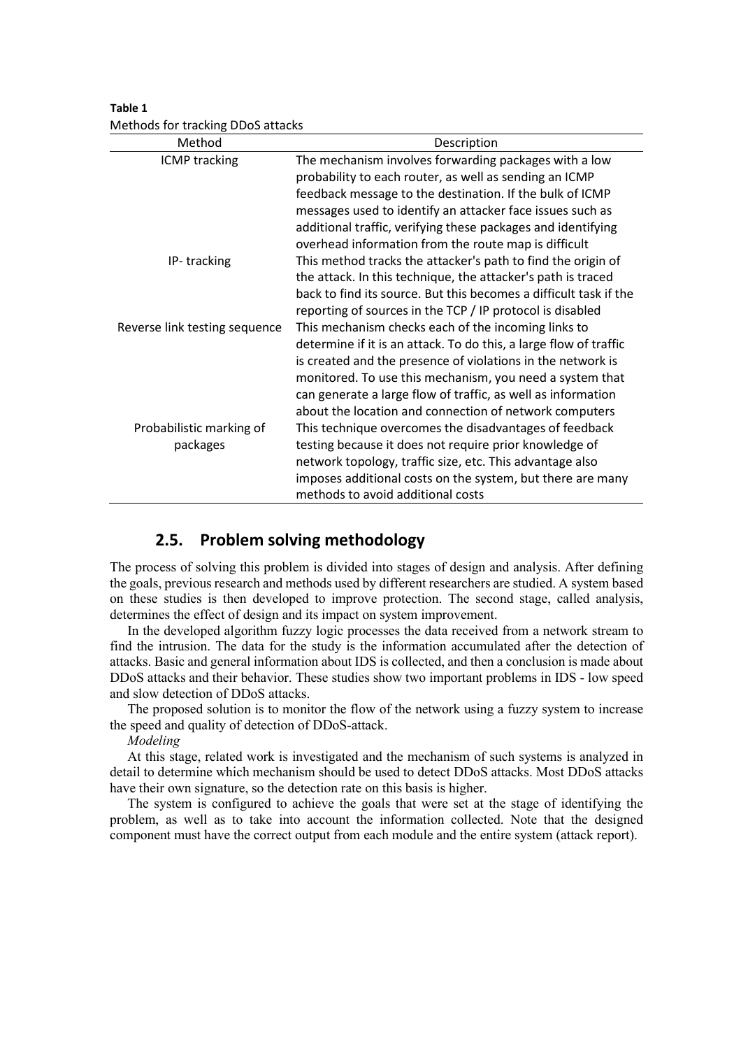**Table 1** Methods for tracking DDoS attacks

| Method                        | Description                                                       |
|-------------------------------|-------------------------------------------------------------------|
| <b>ICMP tracking</b>          | The mechanism involves forwarding packages with a low             |
|                               | probability to each router, as well as sending an ICMP            |
|                               | feedback message to the destination. If the bulk of ICMP          |
|                               | messages used to identify an attacker face issues such as         |
|                               | additional traffic, verifying these packages and identifying      |
|                               | overhead information from the route map is difficult              |
| IP-tracking                   | This method tracks the attacker's path to find the origin of      |
|                               | the attack. In this technique, the attacker's path is traced      |
|                               | back to find its source. But this becomes a difficult task if the |
|                               | reporting of sources in the TCP / IP protocol is disabled         |
| Reverse link testing sequence | This mechanism checks each of the incoming links to               |
|                               | determine if it is an attack. To do this, a large flow of traffic |
|                               | is created and the presence of violations in the network is       |
|                               | monitored. To use this mechanism, you need a system that          |
|                               | can generate a large flow of traffic, as well as information      |
|                               | about the location and connection of network computers            |
| Probabilistic marking of      | This technique overcomes the disadvantages of feedback            |
| packages                      | testing because it does not require prior knowledge of            |
|                               | network topology, traffic size, etc. This advantage also          |
|                               | imposes additional costs on the system, but there are many        |
|                               | methods to avoid additional costs                                 |

# **2.5. Problem solving methodology**

The process of solving this problem is divided into stages of design and analysis. After defining the goals, previous research and methods used by different researchers are studied. A system based on these studies is then developed to improve protection. The second stage, called analysis, determines the effect of design and its impact on system improvement.

In the developed algorithm fuzzy logic processes the data received from a network stream to find the intrusion. The data for the study is the information accumulated after the detection of attacks. Basic and general information about IDS is collected, and then a conclusion is made about DDoS attacks and their behavior. These studies show two important problems in IDS - low speed and slow detection of DDoS attacks.

The proposed solution is to monitor the flow of the network using a fuzzy system to increase the speed and quality of detection of DDoS-attack.

*Modeling*

At this stage, related work is investigated and the mechanism of such systems is analyzed in detail to determine which mechanism should be used to detect DDoS attacks. Most DDoS attacks have their own signature, so the detection rate on this basis is higher.

The system is configured to achieve the goals that were set at the stage of identifying the problem, as well as to take into account the information collected. Note that the designed component must have the correct output from each module and the entire system (attack report).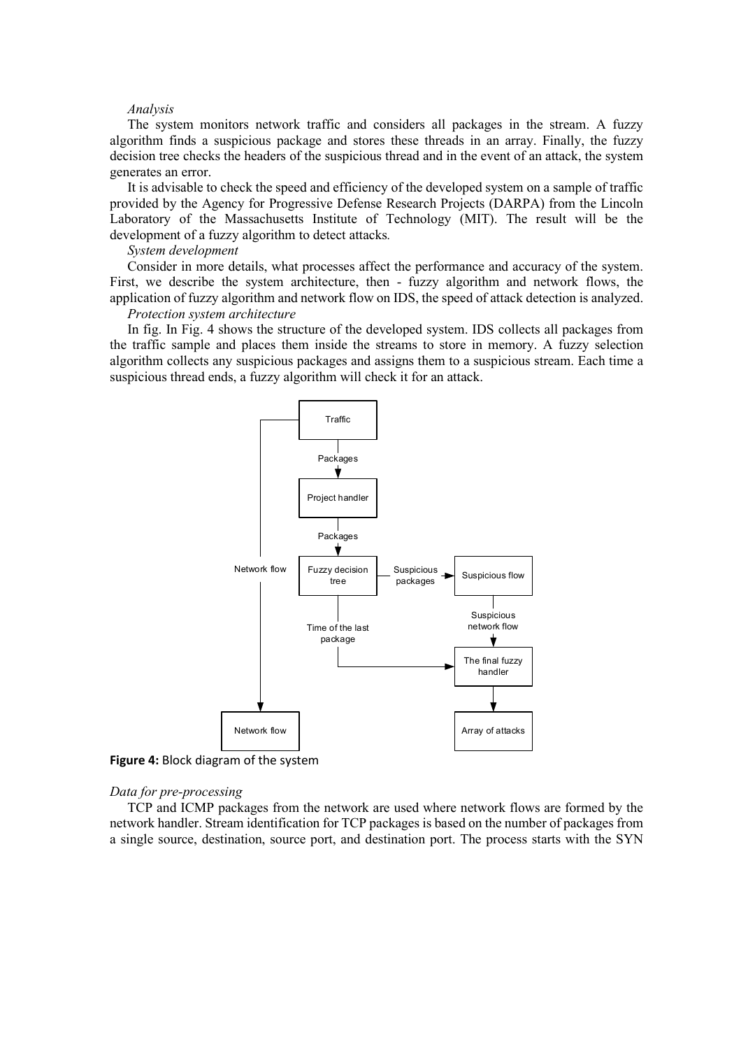#### *Analysis*

The system monitors network traffic and considers all packages in the stream. A fuzzy algorithm finds a suspicious package and stores these threads in an array. Finally, the fuzzy decision tree checks the headers of the suspicious thread and in the event of an attack, the system generates an error.

It is advisable to check the speed and efficiency of the developed system on a sample of traffic provided by the Agency for Progressive Defense Research Projects (DARPA) from the Lincoln Laboratory of the Massachusetts Institute of Technology (MIT). The result will be the development of a fuzzy algorithm to detect attacks*.* 

#### *System development*

Consider in more details, what processes affect the performance and accuracy of the system. First, we describe the system architecture, then - fuzzy algorithm and network flows, the application of fuzzy algorithm and network flow on IDS, the speed of attack detection is analyzed. *Protection system architecture*

### In fig. In Fig. 4 shows the structure of the developed system. IDS collects all packages from the traffic sample and places them inside the streams to store in memory. A fuzzy selection algorithm collects any suspicious packages and assigns them to a suspicious stream. Each time a suspicious thread ends, a fuzzy algorithm will check it for an attack.



**Figure 4:** Block diagram of the system

### *Data for pre-processing*

TCP and ICMP packages from the network are used where network flows are formed by the network handler. Stream identification for TCP packages is based on the number of packages from a single source, destination, source port, and destination port. The process starts with the SYN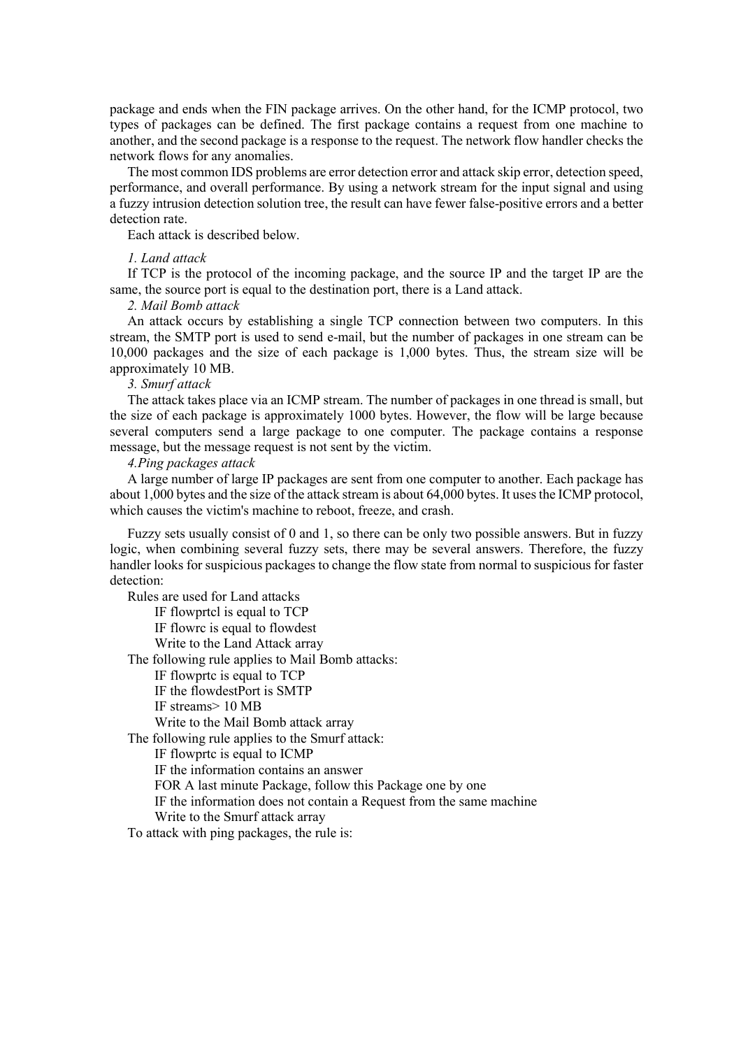package and ends when the FIN package arrives. On the other hand, for the ICMP protocol, two types of packages can be defined. The first package contains a request from one machine to another, and the second package is a response to the request. The network flow handler checks the network flows for any anomalies.

The most common IDS problems are error detection error and attack skip error, detection speed, performance, and overall performance. By using a network stream for the input signal and using a fuzzy intrusion detection solution tree, the result can have fewer false-positive errors and a better detection rate.

Each attack is described below.

#### *1. Land attack*

If TCP is the protocol of the incoming package, and the source IP and the target IP are the same, the source port is equal to the destination port, there is a Land attack.

### *2. Mail Bomb attack*

An attack occurs by establishing a single TCP connection between two computers. In this stream, the SMTP port is used to send e-mail, but the number of packages in one stream can be 10,000 packages and the size of each package is 1,000 bytes. Thus, the stream size will be approximately 10 MB.

#### *3. Smurf attack*

The attack takes place via an ICMP stream. The number of packages in one thread is small, but the size of each package is approximately 1000 bytes. However, the flow will be large because several computers send a large package to one computer. The package contains a response message, but the message request is not sent by the victim.

### *4.Ping packages attack*

A large number of large IP packages are sent from one computer to another. Each package has about 1,000 bytes and the size of the attack stream is about 64,000 bytes. It uses the ICMP protocol, which causes the victim's machine to reboot, freeze, and crash.

Fuzzy sets usually consist of 0 and 1, so there can be only two possible answers. But in fuzzy logic, when combining several fuzzy sets, there may be several answers. Therefore, the fuzzy handler looks for suspicious packages to change the flow state from normal to suspicious for faster detection:

Rules are used for Land attacks

IF flowprtcl is equal to TCP

IF flowrc is equal to flowdest

Write to the Land Attack array

The following rule applies to Mail Bomb attacks:

IF flowprtc is equal to TCP

IF the flowdestPort is SMTP

IF streams> 10 MB

Write to the Mail Bomb attack array

The following rule applies to the Smurf attack:

IF flowprtc is equal to ICMP

IF the information contains an answer

FOR A last minute Package, follow this Package one by one

IF the information does not contain a Request from the same machine

Write to the Smurf attack array

To attack with ping packages, the rule is: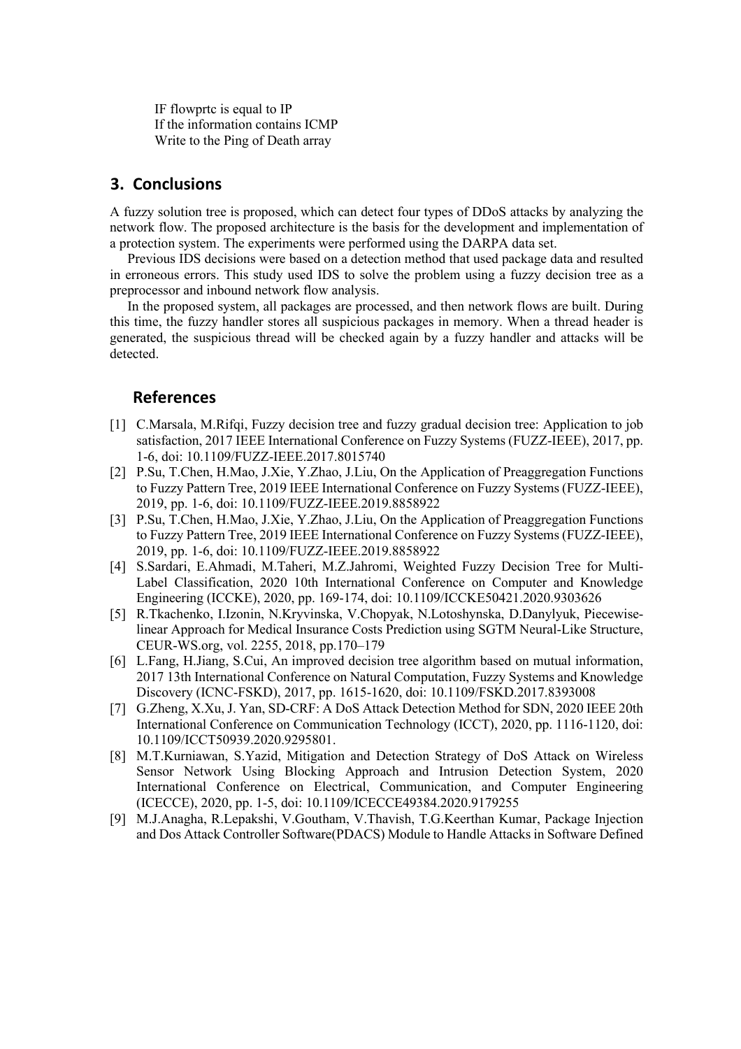IF flowprtc is equal to IP If the information contains ICMP Write to the Ping of Death array

# **3. Conclusions**

A fuzzy solution tree is proposed, which can detect four types of DDoS attacks by analyzing the network flow. The proposed architecture is the basis for the development and implementation of a protection system. The experiments were performed using the DARPA data set.

Previous IDS decisions were based on a detection method that used package data and resulted in erroneous errors. This study used IDS to solve the problem using a fuzzy decision tree as a preprocessor and inbound network flow analysis.

In the proposed system, all packages are processed, and then network flows are built. During this time, the fuzzy handler stores all suspicious packages in memory. When a thread header is generated, the suspicious thread will be checked again by a fuzzy handler and attacks will be detected.

# **References**

- [1] C.Marsala, M.Rifqi, Fuzzy decision tree and fuzzy gradual decision tree: Application to job satisfaction, 2017 IEEE International Conference on Fuzzy Systems (FUZZ-IEEE), 2017, pp. 1-6, doi: 10.1109/FUZZ-IEEE.2017.8015740
- [2] P.Su, T.Chen, H.Mao, J.Xie, Y.Zhao, J.Liu, On the Application of Preaggregation Functions to Fuzzy Pattern Tree, 2019 IEEE International Conference on Fuzzy Systems (FUZZ-IEEE), 2019, pp. 1-6, doi: 10.1109/FUZZ-IEEE.2019.8858922
- [3] P.Su, T.Chen, H.Mao, J.Xie, Y.Zhao, J.Liu, On the Application of Preaggregation Functions to Fuzzy Pattern Tree, 2019 IEEE International Conference on Fuzzy Systems (FUZZ-IEEE), 2019, pp. 1-6, doi: 10.1109/FUZZ-IEEE.2019.8858922
- [4] S.Sardari, E.Ahmadi, M.Taheri, M.Z.Jahromi, Weighted Fuzzy Decision Tree for Multi-Label Classification, 2020 10th International Conference on Computer and Knowledge Engineering (ICCKE), 2020, pp. 169-174, doi: 10.1109/ICCKE50421.2020.9303626
- [5] R.Tkachenko, I.Izonin, N.Kryvinska, V.Chopyak, N.Lotoshynska, D.Danylyuk, Piecewiselinear Approach for Medical Insurance Costs Prediction using SGTM Neural-Like Structure, CEUR-WS.org, vol. 2255, 2018, pp.170–179
- [6] L.Fang, H.Jiang, S.Cui, An improved decision tree algorithm based on mutual information, 2017 13th International Conference on Natural Computation, Fuzzy Systems and Knowledge Discovery (ICNC-FSKD), 2017, pp. 1615-1620, doi: 10.1109/FSKD.2017.8393008
- [7] G.Zheng, X.Xu, J. Yan, SD-CRF: A DoS Attack Detection Method for SDN, 2020 IEEE 20th International Conference on Communication Technology (ICCT), 2020, pp. 1116-1120, doi: 10.1109/ICCT50939.2020.9295801.
- [8] M.T.Kurniawan, S.Yazid, Mitigation and Detection Strategy of DoS Attack on Wireless Sensor Network Using Blocking Approach and Intrusion Detection System, 2020 International Conference on Electrical, Communication, and Computer Engineering (ICECCE), 2020, pp. 1-5, doi: 10.1109/ICECCE49384.2020.9179255
- [9] M.J.Anagha, R.Lepakshi, V.Goutham, V.Thavish, T.G.Keerthan Kumar, Package Injection and Dos Attack Controller Software(PDACS) Module to Handle Attacks in Software Defined